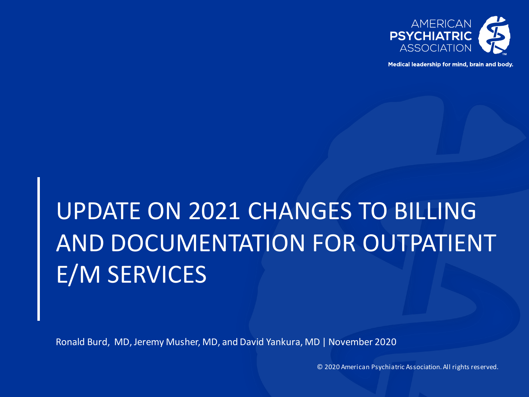

Medical leadership for mind, brain and body.

## UPDATE ON 2021 CHANGES TO BILLING AND DOCUMENTATION FOR OUTPATIENT E/M SERVICES

Ronald Burd, MD, Jeremy Musher, MD, and David Yankura, MD | November 2020

© 2020 American Psychiatric Association. All rights reserved.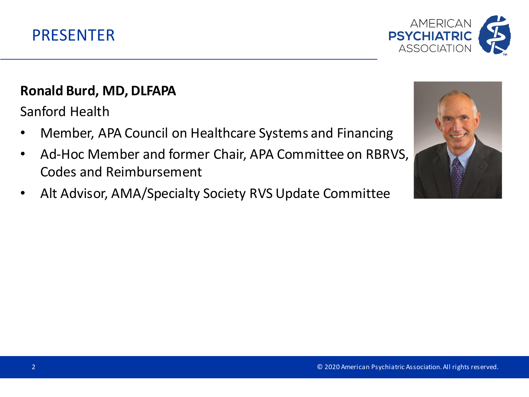



#### **Ronald Burd, MD, DLFAPA**

Sanford Health

- Member, APA Council on Healthcare Systems and Financing
- Ad-Hoc Member and former Chair, APA Committee on RBRVS, Codes and Reimbursement
- Alt Advisor, AMA/Specialty Society RVS Update Committee

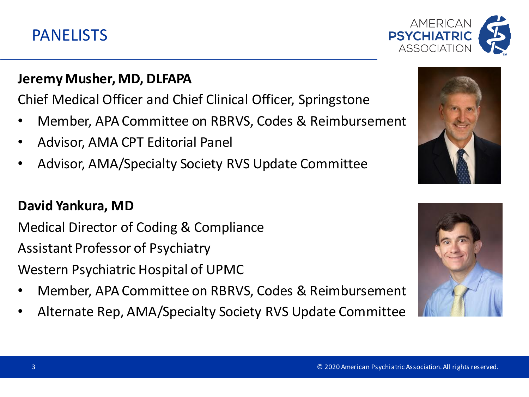#### PANELISTS

#### **Jeremy Musher, MD, DLFAPA**

Chief Medical Officer and Chief Clinical Officer, Springstone

- Member, APA Committee on RBRVS, Codes & Reimbursement
- Advisor, AMA CPT Editorial Panel
- Advisor, AMA/Specialty Society RVS Update Committee

#### **David Yankura, MD**

Medical Director of Coding & Compliance Assistant Professor of Psychiatry Western Psychiatric Hospital of UPMC

- Member, APA Committee on RBRVS, Codes & Reimbursement
- Alternate Rep, AMA/Specialty Society RVS Update Committee





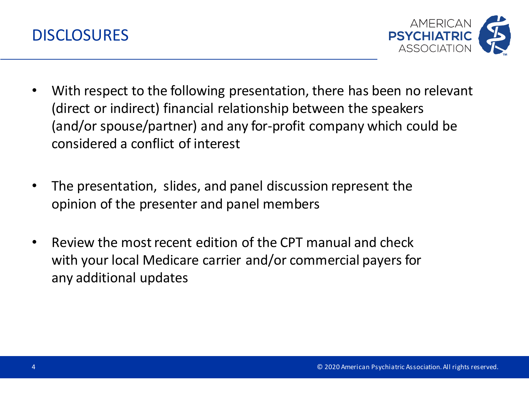



- With respect to the following presentation, there has been no relevant (direct or indirect) financial relationship between the speakers (and/or spouse/partner) and any for-profit company which could be considered a conflict of interest
- The presentation, slides, and panel discussion represent the opinion of the presenter and panel members
- Review the most recent edition of the CPT manual and check with your local Medicare carrier and/or commercial payers for any additional updates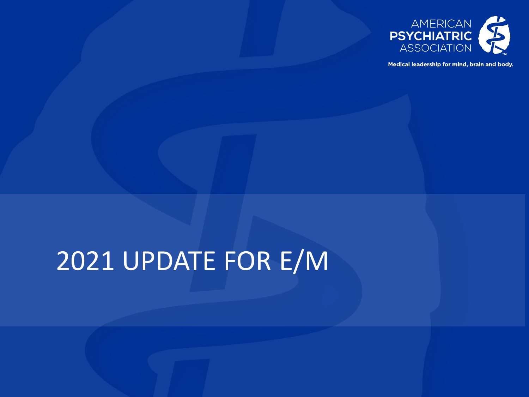

Medical leadership for mind, brain and body.

## 2021 UPDATE FOR E/M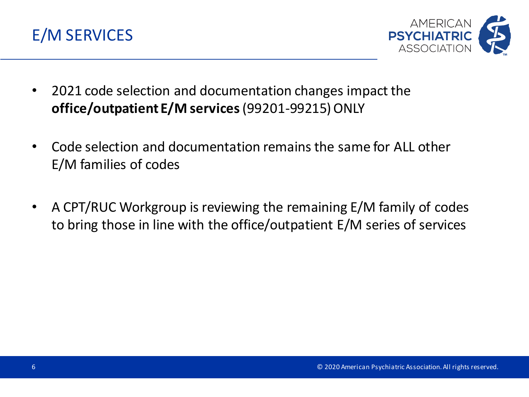



- 2021 code selection and documentation changes impact the **office/outpatient E/M services** (99201-99215) ONLY
- Code selection and documentation remains the same for ALL other E/M families of codes
- A CPT/RUC Workgroup is reviewing the remaining E/M family of codes to bring those in line with the office/outpatient E/M series of services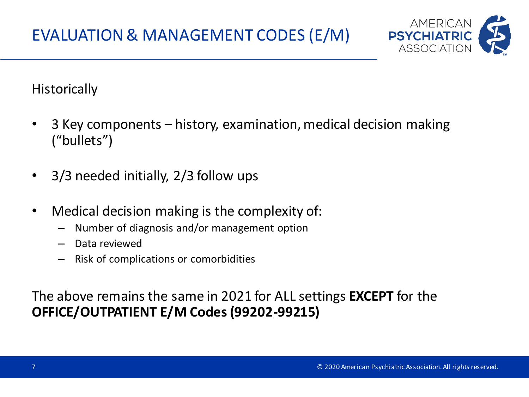

**Historically** 

- 3 Key components history, examination, medical decision making ("bullets")
- 3/3 needed initially, 2/3 follow ups
- Medical decision making is the complexity of:
	- Number of diagnosis and/or management option
	- Data reviewed
	- Risk of complications or comorbidities

The above remains the same in 2021 for ALL settings **EXCEPT** for the **OFFICE/OUTPATIENT E/M Codes (99202-99215)**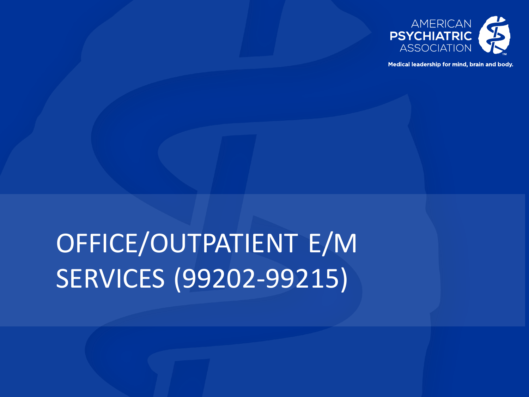

Medical leadership for mind, brain and body.

## OFFICE/OUTPATIENT E/M SERVICES (99202-99215)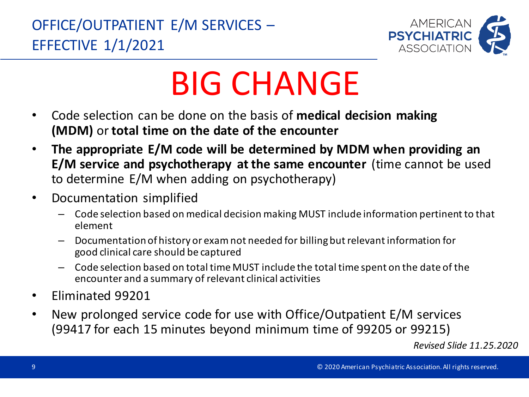

# BIG CHANGE

- Code selection can be done on the basis of **medical decision making (MDM)** or **total time on the date of the encounter**
- **The appropriate E/M code will be determined by MDM when providing an E/M service and psychotherapy at the same encounter** (time cannot be used to determine E/M when adding on psychotherapy)
- Documentation simplified
	- Code selection based on medical decision making MUST include information pertinent to that element
	- Documentation of history or exam not needed for billing but relevant information for good clinical care should be captured
	- Code selection based on total time MUST include the total time spent on the date of the encounter and a summary of relevant clinical activities
- Eliminated 99201
- New prolonged service code for use with Office/Outpatient E/M services (99417 for each 15 minutes beyond minimum time of 99205 or 99215)

*Revised Slide 11.25.2020*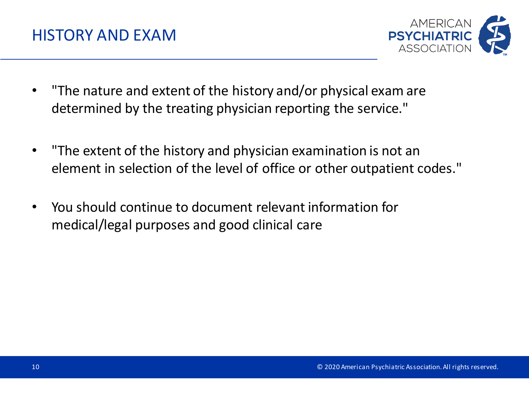

- "The nature and extent of the history and/or physical exam are determined by the treating physician reporting the service."
- "The extent of the history and physician examination is not an element in selection of the level of office or other outpatient codes."
- You should continue to document relevant information for medical/legal purposes and good clinical care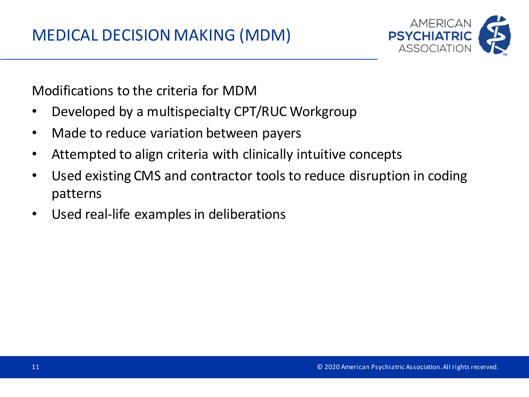

Modifications to the criteria for MDM

- Developed by a multispecialty CPT/RUC Workgroup
- Made to reduce variation between payers
- Attempted to align criteria with clinically intuitive concepts
- Used existing CMS and contractor tools to reduce disruption in coding patterns
- Used real-life examples in deliberations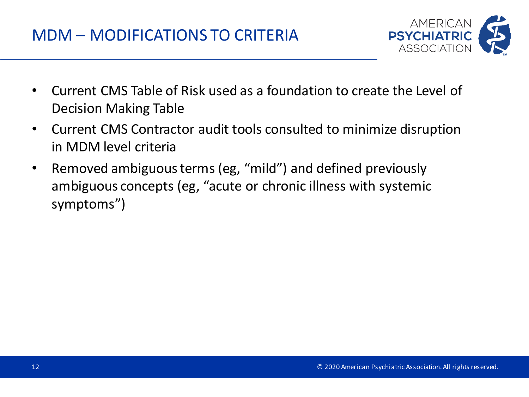

- Current CMS Table of Risk used as a foundation to create the Level of Decision Making Table
- Current CMS Contractor audit tools consulted to minimize disruption in MDM level criteria
- Removed ambiguous terms (eg, "mild") and defined previously ambiguous concepts (eg, "acute or chronic illness with systemic symptoms")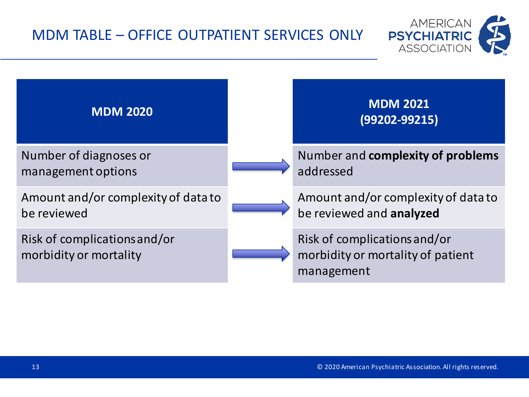#### MDM TABLE – OFFICE OUTPATIENT SERVICES ONLY



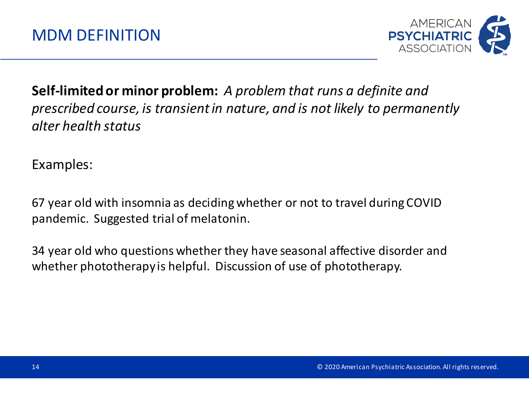

#### **Self-limited or minor problem:** *A problem that runs a definite and prescribed course, is transient in nature, and is not likely to permanently alter health status*

Examples:

67 year old with insomnia as deciding whether or not to travel during COVID pandemic. Suggested trial of melatonin.

34 year old who questions whether they have seasonal affective disorder and whether phototherapy is helpful. Discussion of use of phototherapy.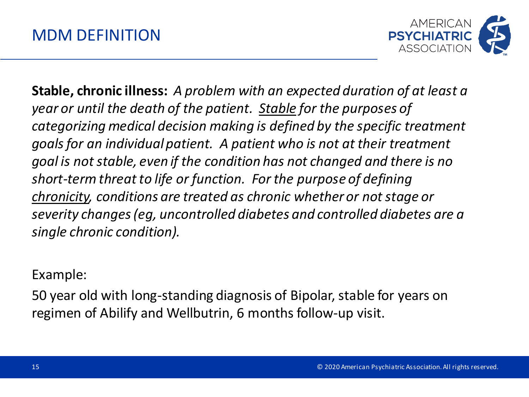

**Stable, chronic illness:** *A problem with an expected duration of at least a year or until the death of the patient. Stable for the purposes of categorizing medical decision making is defined by the specific treatment goals for an individual patient. A patient who is not at their treatment goal is not stable, even if the condition has not changed and there is no short-term threat to life or function. For the purpose of defining chronicity, conditions are treated as chronic whether or not stage or severity changes (eg, uncontrolled diabetes and controlled diabetes are a single chronic condition).*

Example:

50 year old with long-standing diagnosis of Bipolar, stable for years on regimen of Abilify and Wellbutrin, 6 months follow-up visit.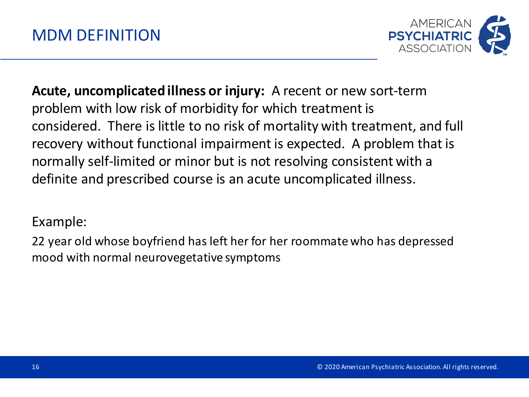

**Acute, uncomplicated illness or injury:** A recent or new sort-term problem with low risk of morbidity for which treatment is considered. There is little to no risk of mortality with treatment, and full recovery without functional impairment is expected. A problem that is normally self-limited or minor but is not resolving consistent with a definite and prescribed course is an acute uncomplicated illness.

#### Example:

22 year old whose boyfriend has left her for her roommate who has depressed mood with normal neurovegetative symptoms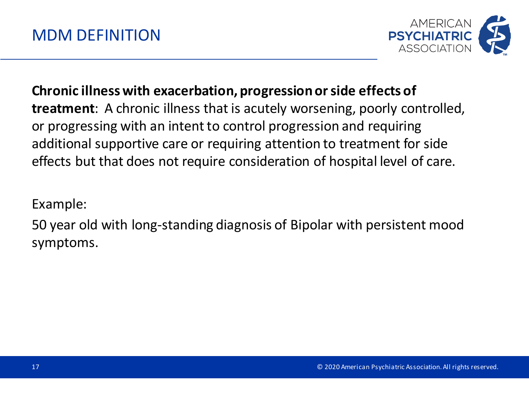

**Chronic illness with exacerbation, progression or side effects of treatment**: A chronic illness that is acutely worsening, poorly controlled, or progressing with an intent to control progression and requiring additional supportive care or requiring attention to treatment for side effects but that does not require consideration of hospital level of care.

Example:

50 year old with long-standing diagnosis of Bipolar with persistent mood symptoms.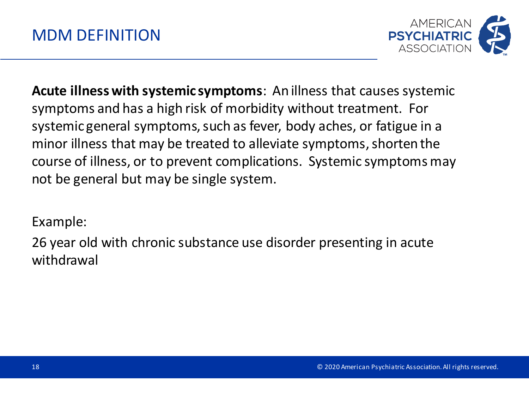

**Acute illness with systemic symptoms**: An illness that causes systemic symptoms and has a high risk of morbidity without treatment. For systemic general symptoms, such as fever, body aches, or fatigue in a minor illness that may be treated to alleviate symptoms, shorten the course of illness, or to prevent complications. Systemic symptoms may not be general but may be single system.

Example:

26 year old with chronic substance use disorder presenting in acute withdrawal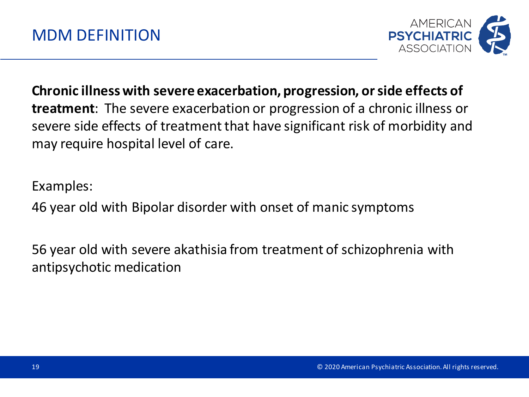

**Chronic illness with severe exacerbation, progression, or side effects of treatment**: The severe exacerbation or progression of a chronic illness or severe side effects of treatment that have significant risk of morbidity and may require hospital level of care.

Examples:

46 year old with Bipolar disorder with onset of manic symptoms

56 year old with severe akathisia from treatment of schizophrenia with antipsychotic medication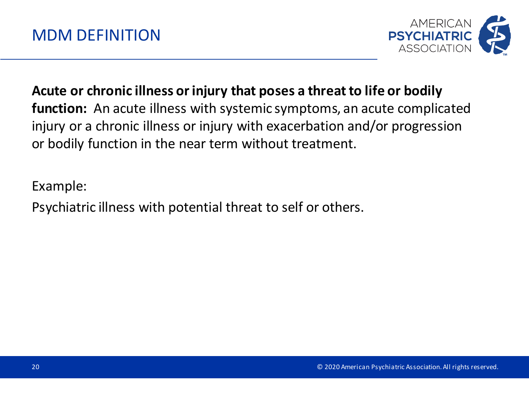

**Acute or chronic illness or injury that poses a threat to life or bodily function:** An acute illness with systemic symptoms, an acute complicated injury or a chronic illness or injury with exacerbation and/or progression or bodily function in the near term without treatment.

Example:

Psychiatric illness with potential threat to self or others.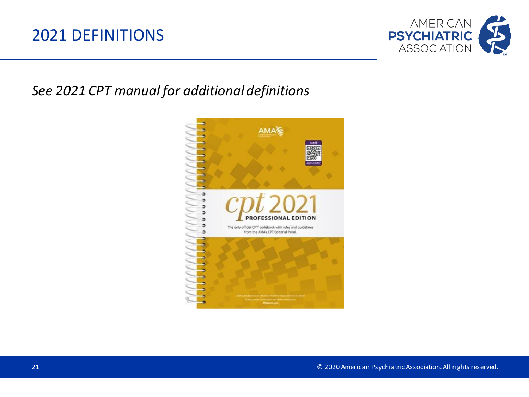#### 2021 DEFINITIONS



#### *See 2021 CPT manual for additional definitions*

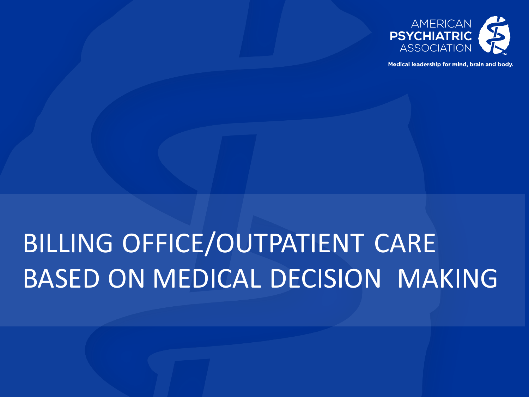

Medical leadership for mind, brain and body.

## BILLING OFFICE/OUTPATIENT CARE BASED ON MEDICAL DECISION MAKING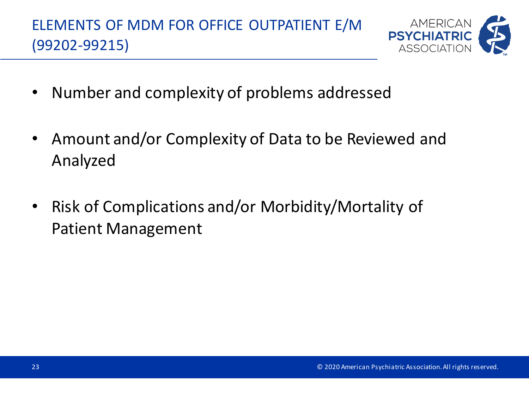

- Number and complexity of problems addressed
- Amount and/or Complexity of Data to be Reviewed and Analyzed
- Risk of Complications and/or Morbidity/Mortality of Patient Management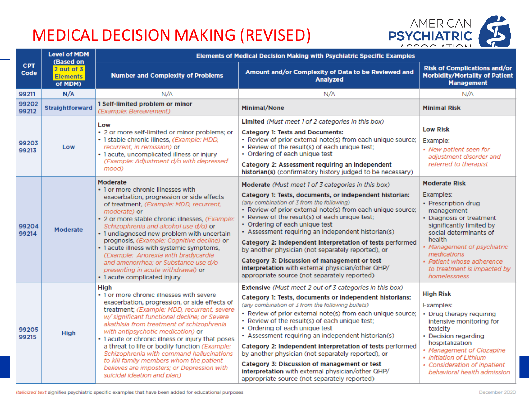## MEDICAL DECISION MAKING (REVISED)



|                    | <b>Level of MDM</b><br>(Based on             | <b>Elements of Medical Decision Making with Psychiatric Specific Examples</b>                                                                                                                                                                                                                                                                                                                                                                                                                                                                                        |                                                                                                                                                                                                                                                                                                                                                                                                                                                                                                                                                                                                                                                          |                                                                                                                                                                                                                                                                                              |
|--------------------|----------------------------------------------|----------------------------------------------------------------------------------------------------------------------------------------------------------------------------------------------------------------------------------------------------------------------------------------------------------------------------------------------------------------------------------------------------------------------------------------------------------------------------------------------------------------------------------------------------------------------|----------------------------------------------------------------------------------------------------------------------------------------------------------------------------------------------------------------------------------------------------------------------------------------------------------------------------------------------------------------------------------------------------------------------------------------------------------------------------------------------------------------------------------------------------------------------------------------------------------------------------------------------------------|----------------------------------------------------------------------------------------------------------------------------------------------------------------------------------------------------------------------------------------------------------------------------------------------|
| <b>CPT</b><br>Code | $2$ out of $3$<br><b>Elements</b><br>of MDM) | <b>Number and Complexity of Problems</b>                                                                                                                                                                                                                                                                                                                                                                                                                                                                                                                             | Amount and/or Complexity of Data to be Reviewed and<br><b>Analyzed</b>                                                                                                                                                                                                                                                                                                                                                                                                                                                                                                                                                                                   | <b>Risk of Complications and/or</b><br><b>Morbidity/Mortality of Patient</b><br><b>Management</b>                                                                                                                                                                                            |
| 99211              | N/A                                          | N/A                                                                                                                                                                                                                                                                                                                                                                                                                                                                                                                                                                  | N/A                                                                                                                                                                                                                                                                                                                                                                                                                                                                                                                                                                                                                                                      | N/A                                                                                                                                                                                                                                                                                          |
| 99202<br>99212     | <b>Straightforward</b>                       | 1 Self-limited problem or minor<br>(Example: Bereavement)                                                                                                                                                                                                                                                                                                                                                                                                                                                                                                            | Minimal/None                                                                                                                                                                                                                                                                                                                                                                                                                                                                                                                                                                                                                                             | <b>Minimal Risk</b>                                                                                                                                                                                                                                                                          |
| 99203<br>99213     | Low                                          | Low<br>• 2 or more self-limited or minor problems; or<br>· 1 stable chronic illness, (Example: MDD,<br>recurrent, in remission) or<br>· 1 acute, uncomplicated illness or injury<br>(Example: Adjustment d/o with depressed<br>mood)                                                                                                                                                                                                                                                                                                                                 | Limited (Must meet 1 of 2 categories in this box)<br><b>Category 1: Tests and Documents:</b><br>• Review of prior external note(s) from each unique source;<br>• Review of the result(s) of each unique test:<br>• Ordering of each unique test<br>Category 2: Assessment requiring an independent<br>historian(s) (confirmatory history judged to be necessary)                                                                                                                                                                                                                                                                                         | <b>Low Risk</b><br>Example:<br>• New patient seen for<br>adjustment disorder and<br>referred to therapist                                                                                                                                                                                    |
| 99204<br>99214     | <b>Moderate</b>                              | Moderate<br>• 1 or more chronic illnesses with<br>exacerbation, progression or side effects<br>of treatment, (Example: MDD, recurrent,<br>moderate) or<br>· 2 or more stable chronic illnesses, (Example:<br>Schizophrenia and alcohol use d/o) or<br>· 1 undiagnosed new problem with uncertain<br>prognosis, (Example: Cognitive decline) or<br>• 1 acute illness with systemic symptoms,<br>(Example: Anorexia with bradycardia<br>and amenorrhea; or Substance use d/o<br>presenting in acute withdrawal) or<br>• 1 acute complicated injury                     | Moderate (Must meet 1 of 3 categories in this box)<br>Category 1: Tests, documents, or independent historian:<br>(any combination of 3 from the following)<br>• Review of prior external note(s) from each unique source;<br>• Review of the result(s) of each unique test;<br>• Ordering of each unique test<br>• Assessment requiring an independent historian(s)<br>Category 2: Independent interpretation of tests performed<br>by another physician (not separately reported), or<br><b>Category 3: Discussion of management or test</b><br>interpretation with external physician/other QHP/<br>appropriate source (not separately reported)       | <b>Moderate Risk</b><br>Examples:<br>• Prescription drug<br>management<br>• Diagnosis or treatment<br>significantly limited by<br>social determinants of<br>health<br>• Management of psychiatric<br>medications<br>• Patient whose adherence<br>to treatment is impacted by<br>homelessness |
| 99205<br>99215     | <b>High</b>                                  | <b>High</b><br>• 1 or more chronic illnesses with severe<br>exacerbation, progression, or side effects of<br>treatment; (Example: MDD, recurrent, severe<br>w/significant functional decline; or Severe<br>akathisia from treatment of schizophrenia<br>with antipsychotic medication) or<br>• 1 acute or chronic illness or injury that poses<br>a threat to life or bodily function (Example:<br>Schizophrenia with command hallucinations<br>to kill family members whom the patient<br>believes are imposters; or Depression with<br>suicidal ideation and plan) | Extensive (Must meet 2 out of 3 categories in this box)<br>Category 1: Tests, documents or independent historians:<br>(any combination of 3 from the following bullets)<br>• Review of prior external note(s) from each unique source;<br>• Review of the result(s) of each unique test;<br>• Ordering of each unique test<br>• Assessment requiring an independent historian(s)<br>Category 2: Independent interpretation of tests performed<br>by another physician (not separately reported), or<br>Category 3: Discussion of management or test<br>interpretation with external physician/other QHP/<br>appropriate source (not separately reported) | <b>High Risk</b><br>Examples:<br>• Drug therapy requiring<br>intensive monitoring for<br>toxicity<br>• Decision regarding<br>hospitalization<br>• Management of Clozapine<br>• Initiation of Lithium<br>• Consideration of inpatient<br>behavioral health admission                          |

Italicized text signifies psychiatric specific examples that have been added for educational purposes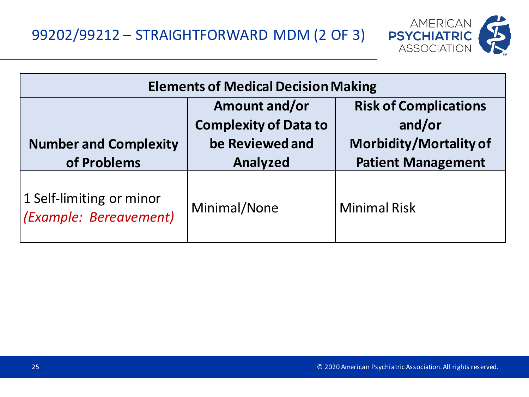99202/99212 – STRAIGHTFORWARD MDM (2 OF 3)



| <b>Elements of Medical Decision Making</b>         |                                                                  |                                                                         |  |
|----------------------------------------------------|------------------------------------------------------------------|-------------------------------------------------------------------------|--|
| <b>Number and Complexity</b>                       | Amount and/or<br><b>Complexity of Data to</b><br>be Reviewed and | <b>Risk of Complications</b><br>and/or<br><b>Morbidity/Mortality of</b> |  |
| of Problems                                        | Analyzed                                                         | <b>Patient Management</b>                                               |  |
| 1 Self-limiting or minor<br>(Example: Bereavement) | Minimal/None                                                     | <b>Minimal Risk</b>                                                     |  |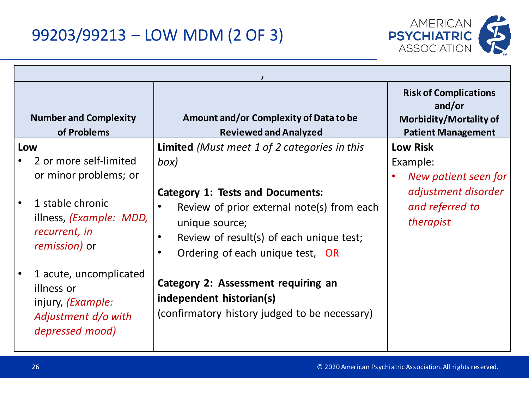

|           | <b>Number and Complexity</b><br>of Problems                                                         | Amount and/or Complexity of Data to be<br><b>Reviewed and Analyzed</b>                                                                                                                                            |  | <b>Risk of Complications</b><br>and/or<br>Morbidity/Mortality of<br><b>Patient Management</b> |
|-----------|-----------------------------------------------------------------------------------------------------|-------------------------------------------------------------------------------------------------------------------------------------------------------------------------------------------------------------------|--|-----------------------------------------------------------------------------------------------|
| Low       | 2 or more self-limited<br>or minor problems; or                                                     | <b>Limited</b> (Must meet 1 of 2 categories in this<br>box)                                                                                                                                                       |  | <b>Low Risk</b><br>Example:<br>New patient seen for                                           |
| $\bullet$ | 1 stable chronic<br>illness, ( <i>Example: MDD</i> ,<br>recurrent, in<br><i>remission</i> ) or      | <b>Category 1: Tests and Documents:</b><br>Review of prior external note(s) from each<br>unique source;<br>Review of result(s) of each unique test;<br>$\bullet$<br>Ordering of each unique test, OR<br>$\bullet$ |  | adjustment disorder<br>and referred to<br>therapist                                           |
|           | 1 acute, uncomplicated<br>illness or<br>injury, (Example:<br>Adjustment d/o with<br>depressed mood) | <b>Category 2: Assessment requiring an</b><br>independent historian(s)<br>(confirmatory history judged to be necessary)                                                                                           |  |                                                                                               |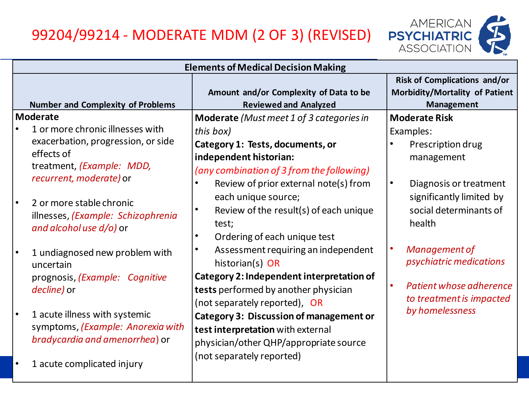#### 99204/99214 - MODERATE MDM (2 OF 3) (REVISED)



| <b>Elements of Medical Decision Making</b> |                                                                                                                                    |                                                                                                                                                                                           |                                                                                                                           |
|--------------------------------------------|------------------------------------------------------------------------------------------------------------------------------------|-------------------------------------------------------------------------------------------------------------------------------------------------------------------------------------------|---------------------------------------------------------------------------------------------------------------------------|
|                                            | <b>Number and Complexity of Problems</b>                                                                                           | Amount and/or Complexity of Data to be<br><b>Reviewed and Analyzed</b>                                                                                                                    | <b>Risk of Complications and/or</b><br>Morbidity/Mortality of Patient<br><b>Management</b>                                |
| <b>Moderate</b><br>effects of              | 1 or more chronic illnesses with<br>exacerbation, progression, or side<br>treatment, (Example: MDD,<br>recurrent, moderate) or     | Moderate (Must meet 1 of 3 categories in<br>this box)<br>Category 1: Tests, documents, or<br>independent historian:<br>(any combination of 3 from the following)                          | <b>Moderate Risk</b><br>Examples:<br>Prescription drug<br>management                                                      |
|                                            | 2 or more stable chronic<br>illnesses, (Example: Schizophrenia<br>and alcohol use $d/o$ ) or                                       | Review of prior external note(s) from<br>each unique source;<br>Review of the result(s) of each unique<br>test;<br>Ordering of each unique test                                           | $\bullet$<br>Diagnosis or treatment<br>significantly limited by<br>social determinants of<br>health                       |
|                                            | 1 undiagnosed new problem with<br>uncertain<br>prognosis, (Example: Cognitive<br>decline) or                                       | Assessment requiring an independent<br>$\bullet$<br>historian(s) OR<br>Category 2: Independent interpretation of<br>tests performed by another physician<br>(not separately reported), OR | Management of<br>$\bullet$<br>psychiatric medications<br>Patient whose adherence<br>$\bullet$<br>to treatment is impacted |
|                                            | 1 acute illness with systemic<br>symptoms, (Example: Anorexia with<br>bradycardia and amenorrhea) or<br>1 acute complicated injury | <b>Category 3: Discussion of management or</b><br>test interpretation with external<br>physician/other QHP/appropriate source<br>(not separately reported)                                | by homelessness                                                                                                           |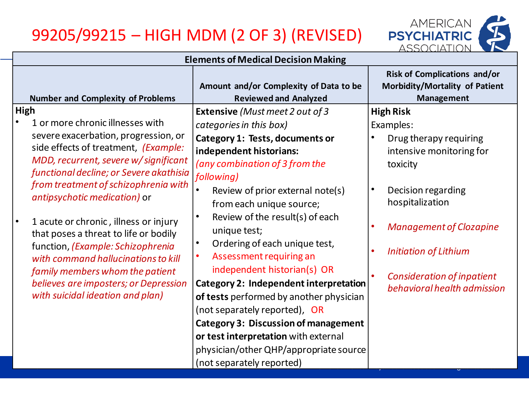## 99205/99215 – HIGH MDM (2 OF 3) (REVISED)



|      | <b>Elements of Medical Decision Making</b>                                                                                                                                                              |                                                                                                                                                                                                                                                                                         |                                                                                            |  |  |  |
|------|---------------------------------------------------------------------------------------------------------------------------------------------------------------------------------------------------------|-----------------------------------------------------------------------------------------------------------------------------------------------------------------------------------------------------------------------------------------------------------------------------------------|--------------------------------------------------------------------------------------------|--|--|--|
|      | <b>Number and Complexity of Problems</b>                                                                                                                                                                | Amount and/or Complexity of Data to be<br><b>Reviewed and Analyzed</b>                                                                                                                                                                                                                  | <b>Risk of Complications and/or</b><br>Morbidity/Mortality of Patient<br><b>Management</b> |  |  |  |
| High |                                                                                                                                                                                                         | <b>Extensive</b> (Must meet 2 out of 3                                                                                                                                                                                                                                                  | <b>High Risk</b>                                                                           |  |  |  |
|      | 1 or more chronic illnesses with                                                                                                                                                                        | categories in this box)                                                                                                                                                                                                                                                                 | Examples:                                                                                  |  |  |  |
|      | severe exacerbation, progression, or<br>side effects of treatment, (Example:<br>MDD, recurrent, severe w/significant<br>functional decline; or Severe akathisia<br>from treatment of schizophrenia with | Category 1: Tests, documents or<br>independent historians:<br>(any combination of 3 from the<br>following)                                                                                                                                                                              | Drug therapy requiring<br>intensive monitoring for<br>toxicity<br>$\bullet$                |  |  |  |
|      | antipsychotic medication) or<br>1 acute or chronic, illness or injury<br>that poses a threat to life or bodily                                                                                          | Review of prior external note(s)<br>from each unique source;<br>Review of the result(s) of each<br>$\bullet$<br>unique test;                                                                                                                                                            | Decision regarding<br>hospitalization<br><b>Management of Clozapine</b>                    |  |  |  |
|      | function, (Example: Schizophrenia<br>with command hallucinations to kill<br>family members whom the patient                                                                                             | Ordering of each unique test,<br>Assessment requiring an<br>$\bullet$<br>independent historian(s) OR                                                                                                                                                                                    | <b>Initiation of Lithium</b>                                                               |  |  |  |
|      | believes are imposters; or Depression<br>with suicidal ideation and plan)                                                                                                                               | <b>Category 2: Independent interpretation</b><br>of tests performed by another physician<br>(not separately reported), OR<br><b>Category 3: Discussion of management</b><br>or test interpretation with external<br>physician/other QHP/appropriate source<br>(not separately reported) | <b>Consideration of inpatient</b><br>behavioral health admission                           |  |  |  |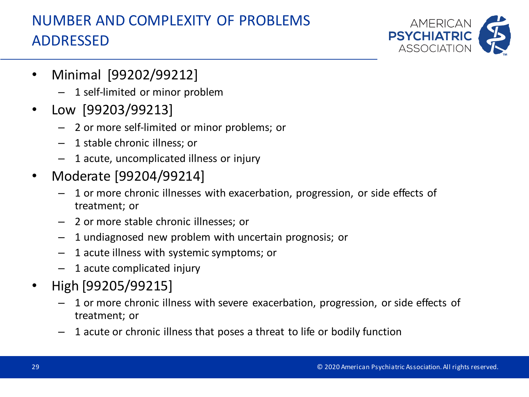### NUMBER AND COMPLEXITY OF PROBLEMS ADDRESSED



- Minimal [99202/99212]
	- 1 self-limited or minor problem
- Low [99203/99213]
	- 2 or more self-limited or minor problems; or
	- 1 stable chronic illness; or
	- 1 acute, uncomplicated illness or injury
- Moderate [99204/99214]
	- 1 or more chronic illnesses with exacerbation, progression, or side effects of treatment; or
	- 2 or more stable chronic illnesses; or
	- 1 undiagnosed new problem with uncertain prognosis; or
	- 1 acute illness with systemic symptoms; or
	- 1 acute complicated injury
- High [99205/99215]
	- 1 or more chronic illness with severe exacerbation, progression, or side effects of treatment; or
	- 1 acute or chronic illness that poses a threat to life or bodily function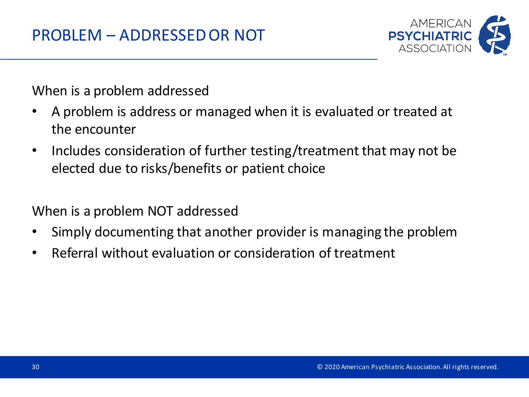

When is a problem addressed

- A problem is address or managed when it is evaluated or treated at the encounter
- Includes consideration of further testing/treatment that may not be elected due to risks/benefits or patient choice

When is a problem NOT addressed

- Simply documenting that another provider is managing the problem
- Referral without evaluation or consideration of treatment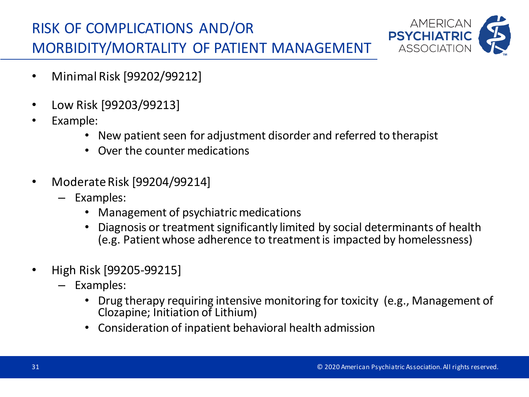### RISK OF COMPLICATIONS AND/OR MORBIDITY/MORTALITY OF PATIENT MANAGEMENT



- Minimal Risk [99202/99212]
- Low Risk [99203/99213]
- Example:
	- New patient seen for adjustment disorder and referred to therapist
	- Over the counter medications
- Moderate Risk [99204/99214]
	- Examples:
		- Management of psychiatric medications
		- Diagnosis or treatment significantly limited by social determinants of health (e.g. Patient whose adherence to treatment is impacted by homelessness)
- High Risk [99205-99215]
	- Examples:
		- Drug therapy requiring intensive monitoring for toxicity (e.g., Management of Clozapine; Initiation of Lithium)
		- Consideration of inpatient behavioral health admission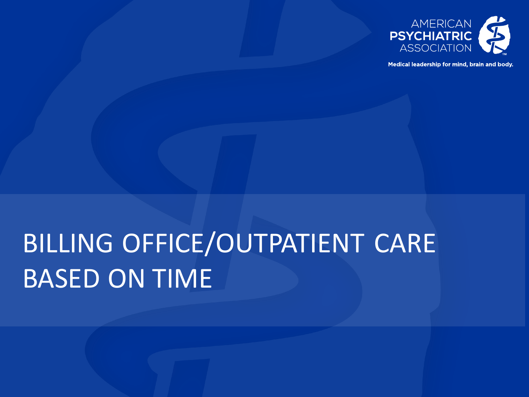

Medical leadership for mind, brain and body.

# BILLING OFFICE/OUTPATIENT CARE BASED ON TIME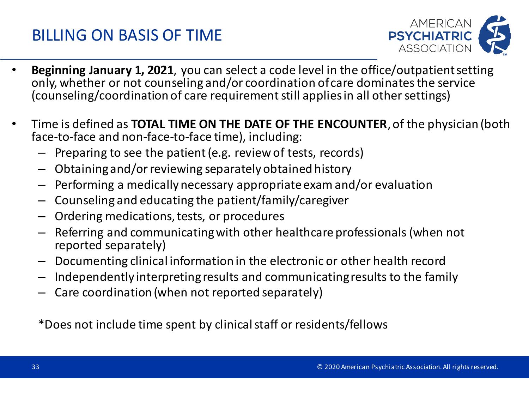### BILLING ON BASIS OF TIME



- **Beginning January 1, 2021**, you can select a code level in the office/outpatient setting only, whether or not counseling and/or coordination of care dominates the service (counseling/coordination of care requirement still applies in all other settings)
- Time is defined as **TOTAL TIME ON THE DATE OF THE ENCOUNTER**, of the physician (both face-to-face and non-face-to-face time), including:
	- Preparing to see the patient (e.g. review of tests, records)
	- Obtaining and/or reviewing separately obtained history
	- Performing a medically necessary appropriate exam and/or evaluation
	- Counseling and educating the patient/family/caregiver
	- Ordering medications, tests, or procedures
	- Referring and communicating with other healthcare professionals (when not reported separately)
	- Documenting clinical information in the electronic or other health record
	- Independently interpreting results and communicating results to the family
	- Care coordination (when not reported separately)

\*Does not include time spent by clinical staff or residents/fellows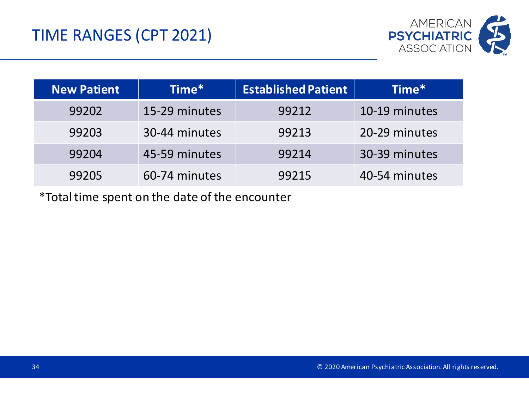

| <b>New Patient</b> | Time*         | <b>Established Patient</b> | Time*         |
|--------------------|---------------|----------------------------|---------------|
| 99202              | 15-29 minutes | 99212                      | 10-19 minutes |
| 99203              | 30-44 minutes | 99213                      | 20-29 minutes |
| 99204              | 45-59 minutes | 99214                      | 30-39 minutes |
| 99205              | 60-74 minutes | 99215                      | 40-54 minutes |

\*Total time spent on the date of the encounter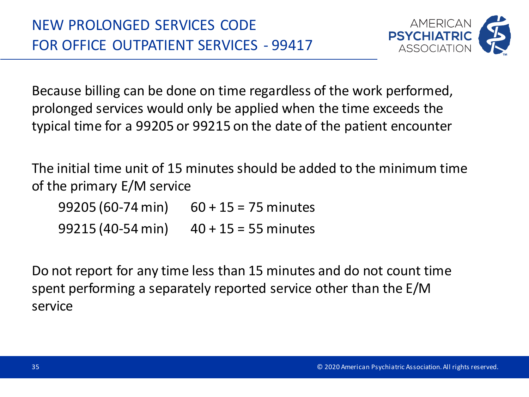

Because billing can be done on time regardless of the work performed, prolonged services would only be applied when the time exceeds the typical time for a 99205 or 99215 on the date of the patient encounter

The initial time unit of 15 minutes should be added to the minimum time of the primary E/M service

99205 (60-74 min) 60 + 15 = 75 minutes 99215 (40-54 min) 40 + 15 = 55 minutes

Do not report for any time less than 15 minutes and do not count time spent performing a separately reported service other than the E/M service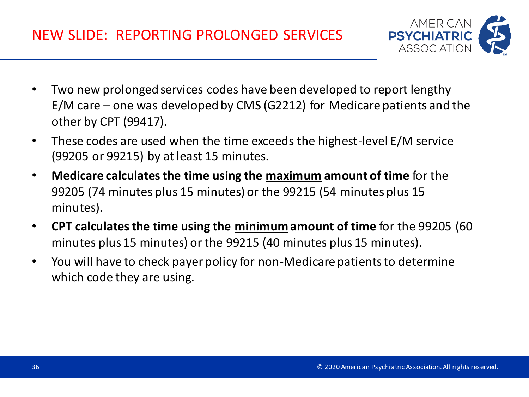- Two new prolonged services codes have been developed to report lengthy E/M care – one was developed by CMS (G2212) for Medicare patients and the other by CPT (99417).
- These codes are used when the time exceeds the highest-level E/M service (99205 or 99215) by at least 15 minutes.
- **Medicare calculates the time using the maximum amount of time** for the 99205 (74 minutes plus 15 minutes) or the 99215 (54 minutes plus 15 minutes).
- **CPT calculates the time using the minimum amount of time** for the 99205 (60 minutes plus 15 minutes) or the 99215 (40 minutes plus 15 minutes).
- You will have to check payer policy for non-Medicare patients to determine which code they are using.

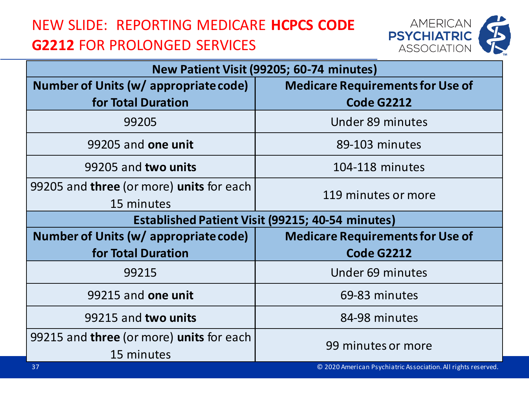### NEW SLIDE: REPORTING MEDICARE **HCPCS CODE G2212** FOR PROLONGED SERVICES



| New Patient Visit (99205; 60-74 minutes)               |                                                               |  |  |
|--------------------------------------------------------|---------------------------------------------------------------|--|--|
| Number of Units (w/ appropriate code)                  | <b>Medicare Requirements for Use of</b>                       |  |  |
| for Total Duration                                     | <b>Code G2212</b>                                             |  |  |
| 99205                                                  | Under 89 minutes                                              |  |  |
| 99205 and one unit                                     | 89-103 minutes                                                |  |  |
| 99205 and two units                                    | 104-118 minutes                                               |  |  |
| 99205 and three (or more) units for each               | 119 minutes or more                                           |  |  |
| 15 minutes                                             |                                                               |  |  |
|                                                        | <b>Established Patient Visit (99215; 40-54 minutes)</b>       |  |  |
| Number of Units (w/ appropriate code)                  | <b>Medicare Requirements for Use of</b>                       |  |  |
| for Total Duration                                     | <b>Code G2212</b>                                             |  |  |
| 99215                                                  | Under 69 minutes                                              |  |  |
| 99215 and one unit                                     | 69-83 minutes                                                 |  |  |
| 99215 and two units                                    | 84-98 minutes                                                 |  |  |
| 99215 and <b>three</b> (or more) <b>units</b> for each | 99 minutes or more                                            |  |  |
| 15 minutes                                             |                                                               |  |  |
| 37                                                     | © 2020 American Psychiatric Association. All rights reserved. |  |  |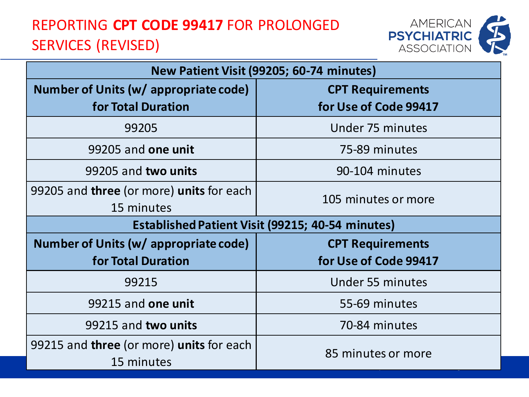### REPORTING **CPT CODE 99417** FOR PROLONGED SERVICES (REVISED)



| New Patient Visit (99205; 60-74 minutes)                |                         |  |  |
|---------------------------------------------------------|-------------------------|--|--|
| Number of Units (w/ appropriate code)                   | <b>CPT Requirements</b> |  |  |
| for Total Duration                                      | for Use of Code 99417   |  |  |
| 99205                                                   | Under 75 minutes        |  |  |
| 99205 and one unit                                      | 75-89 minutes           |  |  |
| 99205 and two units                                     | 90-104 minutes          |  |  |
| 99205 and <b>three</b> (or more) <b>units</b> for each  | 105 minutes or more     |  |  |
| 15 minutes                                              |                         |  |  |
| <b>Established Patient Visit (99215; 40-54 minutes)</b> |                         |  |  |
| Number of Units (w/ appropriate code)                   | <b>CPT Requirements</b> |  |  |
| for Total Duration                                      | for Use of Code 99417   |  |  |
| 99215                                                   | Under 55 minutes        |  |  |
| 99215 and one unit                                      | 55-69 minutes           |  |  |
| 99215 and two units                                     | 70-84 minutes           |  |  |
| 99215 and three (or more) units for each<br>15 minutes  | 85 minutes or more      |  |  |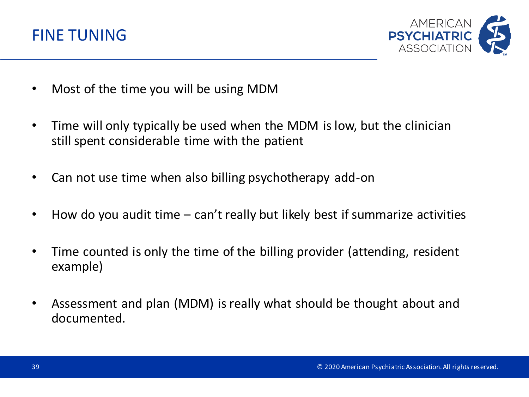



- Most of the time you will be using MDM
- Time will only typically be used when the MDM is low, but the clinician still spent considerable time with the patient
- Can not use time when also billing psychotherapy add-on
- How do you audit time can't really but likely best if summarize activities
- Time counted is only the time of the billing provider (attending, resident example)
- Assessment and plan (MDM) is really what should be thought about and documented.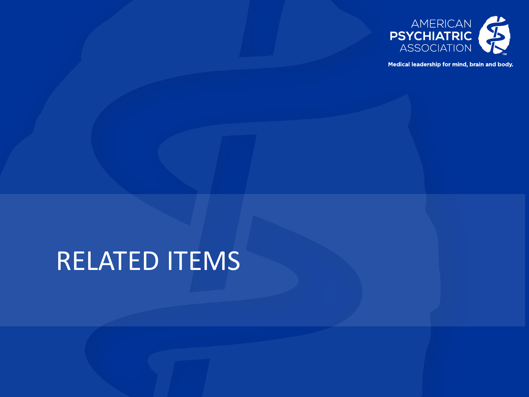

Medical leadership for mind, brain and body.

## RELATED ITEMS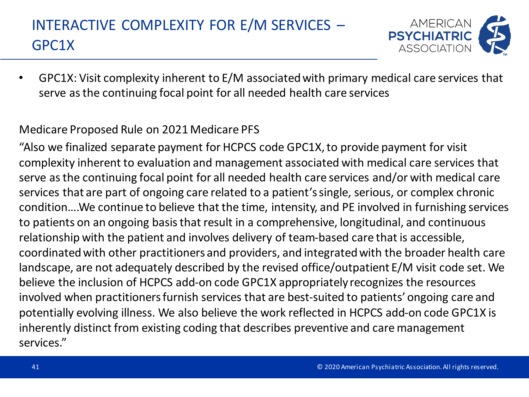## INTERACTIVE COMPLEXITY FOR E/M SERVICES – GPC1X



• GPC1X: Visit complexity inherent to E/M associated with primary medical care services that serve as the continuing focal point for all needed health care services

#### Medicare Proposed Rule on 2021 Medicare PFS

"Also we finalized separate payment for HCPCS code GPC1X, to provide payment for visit complexity inherent to evaluation and management associated with medical care services that serve as the continuing focal point for all needed health care services and/or with medical care services that are part of ongoing care related to a patient's single, serious, or complex chronic condition….We continue to believe that the time, intensity, and PE involved in furnishing services to patients on an ongoing basis that result in a comprehensive, longitudinal, and continuous relationship with the patient and involves delivery of team-based care that is accessible, coordinated with other practitioners and providers, and integrated with the broader health care landscape, are not adequately described by the revised office/outpatient E/M visit code set. We believe the inclusion of HCPCS add-on code GPC1X appropriately recognizes the resources involved when practitioners furnish services that are best-suited to patients' ongoing care and potentially evolving illness. We also believe the work reflected in HCPCS add-on code GPC1X is inherently distinct from existing coding that describes preventive and care management services."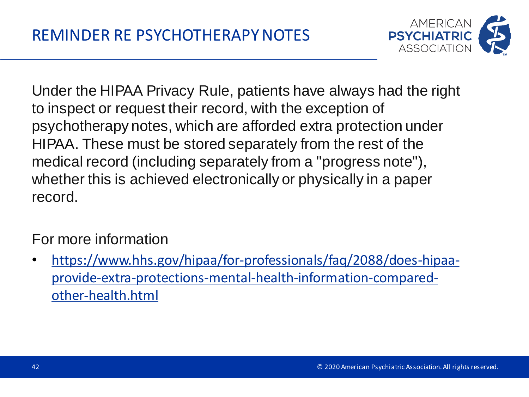

Under the HIPAA Privacy Rule, patients have always had the right to inspect or request their record, with the exception of psychotherapy notes, which are afforded extra protection under HIPAA. These must be stored separately from the rest of the medical record (including separately from a "progress note"), whether this is achieved electronically or physically in a paper record.

### For more information

• https://www.hhs.gov/hipaa/for-professionals/faq/2088/does-hipaaprovide-extra-protections-mental-health-information-comparedother-health.html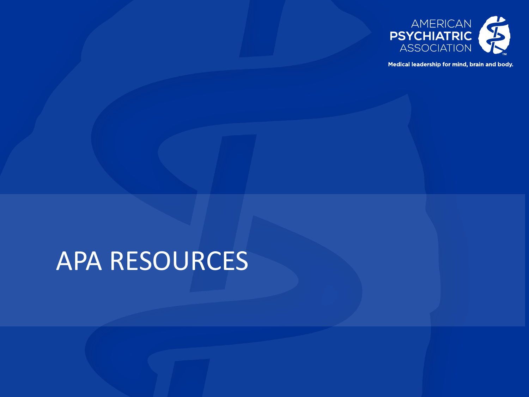

Medical leadership for mind, brain and body.

## APA RESOURCES